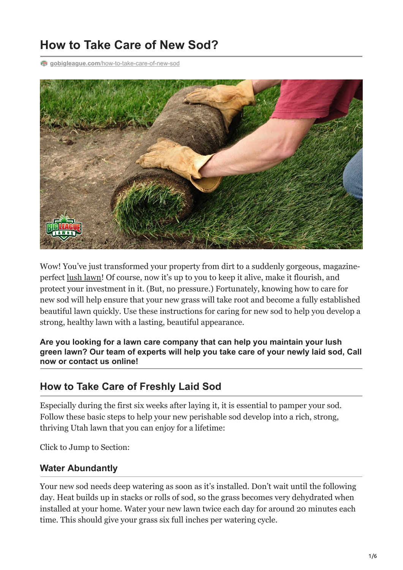# **How to Take Care of New Sod?**

**gobigleague.com**[/how-to-take-care-of-new-sod](https://gobigleague.com/how-to-take-care-of-new-sod/)



Wow! You've just transformed your property from dirt to a suddenly gorgeous, magazineperfect [lush lawn](https://gobigleague.com/gallery/)! Of course, now it's up to you to keep it alive, make it flourish, and protect your investment in it. (But, no pressure.) Fortunately, knowing how to care for new sod will help ensure that your new grass will take root and become a fully established beautiful lawn quickly. Use these instructions for caring for new sod to help you develop a strong, healthy lawn with a lasting, beautiful appearance.

**Are you looking for a lawn care company that can help you maintain your lush green lawn? Our team of experts will help you take care of your newly laid sod, Call now or contact us online!**

### **How to Take Care of Freshly Laid Sod**

Especially during the first six weeks after laying it, it is essential to pamper your sod. Follow these basic steps to help your new perishable sod develop into a rich, strong, thriving Utah lawn that you can enjoy for a lifetime:

Click to Jump to Section:

#### **Water Abundantly**

Your new sod needs deep watering as soon as it's installed. Don't wait until the following day. Heat builds up in stacks or rolls of sod, so the grass becomes very dehydrated when installed at your home. Water your new lawn twice each day for around 20 minutes each time. This should give your grass six full inches per watering cycle.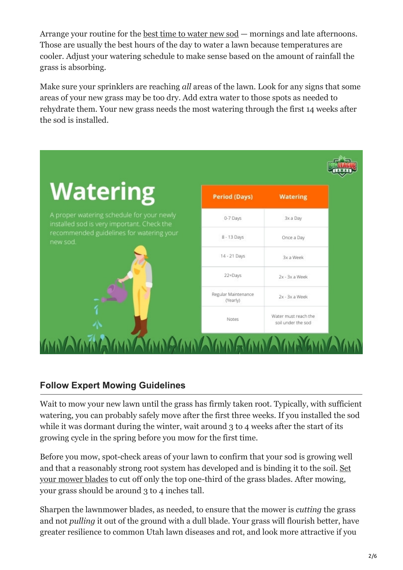Arrange your routine for the [best time to water new sod](https://gobigleague.com/lawn-watering-guide-utah/) — mornings and late afternoons. Those are usually the best hours of the day to water a lawn because temperatures are cooler. Adjust your watering schedule to make sense based on the amount of rainfall the grass is absorbing.

Make sure your sprinklers are reaching *all* areas of the lawn. Look for any signs that some areas of your new grass may be too dry. Add extra water to those spots as needed to rehydrate them. Your new grass needs the most watering through the first 14 weeks after the sod is installed.



### **Follow Expert Mowing Guidelines**

Wait to mow your new lawn until the grass has firmly taken root. Typically, with sufficient watering, you can probably safely move after the first three weeks. If you installed the sod while it was dormant during the winter, wait around 3 to 4 weeks after the start of its growing cycle in the spring before you mow for the first time.

Before you mow, spot-check areas of your lawn to confirm that your sod is growing well [and that a reasonably strong root system has developed and is binding it to the soil. Set](https://gobigleague.com/5-smart-mowing-tips-for-a-lush-green-lawn/) your mower blades to cut off only the top one-third of the grass blades. After mowing, your grass should be around 3 to 4 inches tall.

Sharpen the lawnmower blades, as needed, to ensure that the mower is *cutting* the grass and not *pulling* it out of the ground with a dull blade. Your grass will flourish better, have greater resilience to common Utah lawn diseases and rot, and look more attractive if you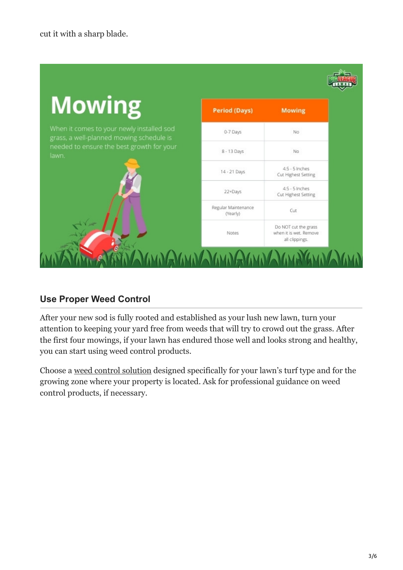

#### **Use Proper Weed Control**

After your new sod is fully rooted and established as your lush new lawn, turn your attention to keeping your yard free from weeds that will try to crowd out the grass. After the first four mowings, if your lawn has endured those well and looks strong and healthy, you can start using weed control products.

Choose a [weed control solution](https://gobigleague.com/lawn-weed-control-company-utah/) designed specifically for your lawn's turf type and for the growing zone where your property is located. Ask for professional guidance on weed control products, if necessary.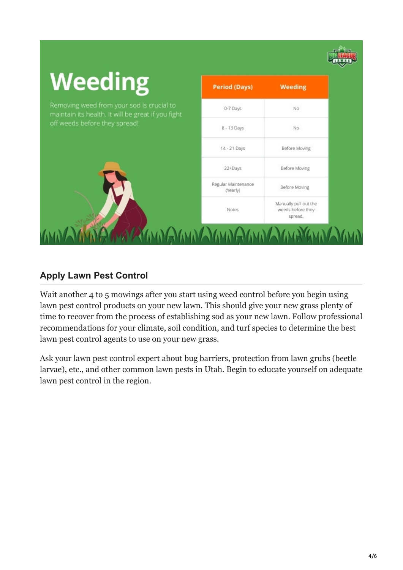| <b>Weeding</b>                                                                                                                   | <b>Period (Days)</b>            | <b>Weeding</b>                                        |
|----------------------------------------------------------------------------------------------------------------------------------|---------------------------------|-------------------------------------------------------|
| Removing weed from your sod is crucial to<br>maintain its health. It will be great if you fight<br>off weeds before they spread! | 0-7 Days                        | No.                                                   |
|                                                                                                                                  | 8 - 13 Days                     | No                                                    |
|                                                                                                                                  | 14 - 21 Days                    | Before Moving                                         |
|                                                                                                                                  | 22+Days                         | Before Moving                                         |
|                                                                                                                                  | Regular Maintenance<br>(Yearly) | Before Moving                                         |
|                                                                                                                                  | Notes                           | Manually pull out the<br>weeds before they<br>spread. |

### **Apply Lawn Pest Control**

Wait another 4 to 5 mowings after you start using weed control before you begin using lawn pest control products on your new lawn. This should give your new grass plenty of time to recover from the process of establishing sod as your new lawn. Follow professional recommendations for your climate, soil condition, and turf species to determine the best lawn pest control agents to use on your new grass.

Ask your lawn pest control expert about bug barriers, protection from [lawn grubs](https://gobigleague.com/lawn-grub-prevention-control/) (beetle larvae), etc., and other common lawn pests in Utah. Begin to educate yourself on adequate lawn pest control in the region.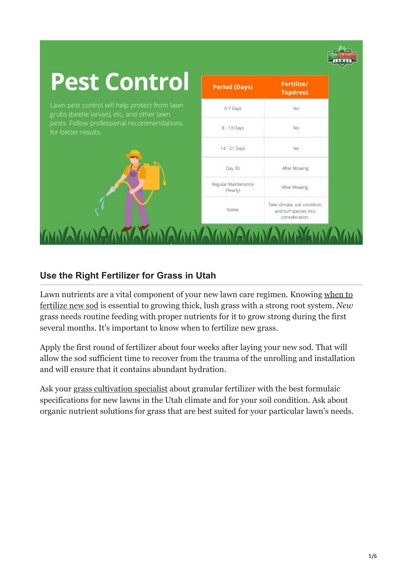| <b>Pest Control</b>                                                                         | <b>Period (Days)</b>            | Fertilize/<br><b>Topdress</b>                                            |
|---------------------------------------------------------------------------------------------|---------------------------------|--------------------------------------------------------------------------|
| Lawn pest control will help protect from lawn<br>grubs (beetle larvae), etc, and other lawn | 0-7 Days                        | No.                                                                      |
| pests. Follow professional recommendations<br>for better results.                           | 8 - 13 Days                     | No                                                                       |
|                                                                                             | 14 - 21 Days                    | No                                                                       |
|                                                                                             | Day 30                          | After Mowing                                                             |
|                                                                                             | Regular Maintenance<br>(Yearly) | After Mowing                                                             |
|                                                                                             | Notes                           | Take climate, soil condition,<br>and turf species into<br>consideration. |

#### **Use the Right Fertilizer for Grass in Utah**

[Lawn nutrients are a vital component of your new lawn care regimen. Knowing when to](https://gobigleague.com/lawn-fertilization-services-utah/) fertilize new sod is essential to growing thick, lush grass with a strong root system. *New* grass needs routine feeding with proper nutrients for it to grow strong during the first several months. It's important to know when to fertilize new grass.

Apply the first round of fertilizer about four weeks after laying your new sod. That will allow the sod sufficient time to recover from the trauma of the unrolling and installation and will ensure that it contains abundant hydration.

Ask your [grass cultivation specialist](https://gobigleague.com/why-choose-big-league-lawns/) about granular fertilizer with the best formulaic specifications for new lawns in the Utah climate and for your soil condition. Ask about organic nutrient solutions for grass that are best suited for your particular lawn's needs.